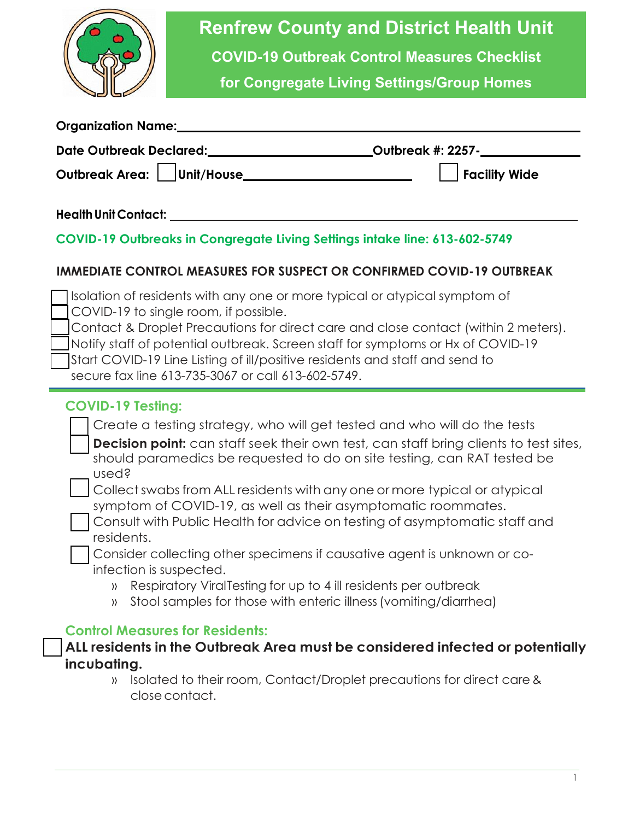

# **Renfrew County and District Health Unit**

**COVID-19 Outbreak Control Measures Checklist** 

**for Congregate Living Settings/Group Homes**

| <b>Organization Name:</b>      |               |
|--------------------------------|---------------|
| <b>Date Outbreak Declared:</b> |               |
| Outbreak Area: Unit/House_     | Facility Wide |

#### **Health Unit Contact:**

#### **COVID-19 Outbreaks in Congregate Living Settings intake line: 613-602-5749**

#### **IMMEDIATE CONTROL MEASURES FOR SUSPECT OR CONFIRMED COVID-19 OUTBREAK**

| Isolation of residents with any one or more typical or atypical symptom of<br>COVID-19 to single room, if possible.<br>Contact & Droplet Precautions for direct care and close contact (within 2 meters).<br>Notify staff of potential outbreak. Screen staff for symptoms or Hx of COVID-19<br>Start COVID-19 Line Listing of ill/positive residents and staff and send to<br>secure fax line 613-735-3067 or call 613-602-5749. |
|-----------------------------------------------------------------------------------------------------------------------------------------------------------------------------------------------------------------------------------------------------------------------------------------------------------------------------------------------------------------------------------------------------------------------------------|
| <b>COVID-19 Testing:</b>                                                                                                                                                                                                                                                                                                                                                                                                          |
| Create a testing strategy, who will get tested and who will do the tests                                                                                                                                                                                                                                                                                                                                                          |
| <b>Decision point:</b> can staff seek their own test, can staff bring clients to test sites,                                                                                                                                                                                                                                                                                                                                      |
| should paramedics be requested to do on site testing, can RAT tested be                                                                                                                                                                                                                                                                                                                                                           |
| used?                                                                                                                                                                                                                                                                                                                                                                                                                             |
| Collect swabs from ALL residents with any one or more typical or atypical<br>symptom of COVID-19, as well as their asymptomatic roommates.                                                                                                                                                                                                                                                                                        |
| Consult with Public Health for advice on testing of asymptomatic staff and                                                                                                                                                                                                                                                                                                                                                        |
| residents.                                                                                                                                                                                                                                                                                                                                                                                                                        |
| Consider collecting other specimens if causative agent is unknown or co-                                                                                                                                                                                                                                                                                                                                                          |
| infection is suspected.                                                                                                                                                                                                                                                                                                                                                                                                           |
| Respiratory ViralTesting for up to 4 ill residents per outbreak<br>$\rangle$                                                                                                                                                                                                                                                                                                                                                      |
| Stool samples for those with enteric illness (vomiting/diarrhea)<br>$\rangle$                                                                                                                                                                                                                                                                                                                                                     |
| <b>Control Measures for Residents:</b>                                                                                                                                                                                                                                                                                                                                                                                            |

# **ALL residents in the Outbreak Area must be considered infected or potentially incubating.**

» Isolated to their room, Contact/Droplet precautions for direct care & close contact.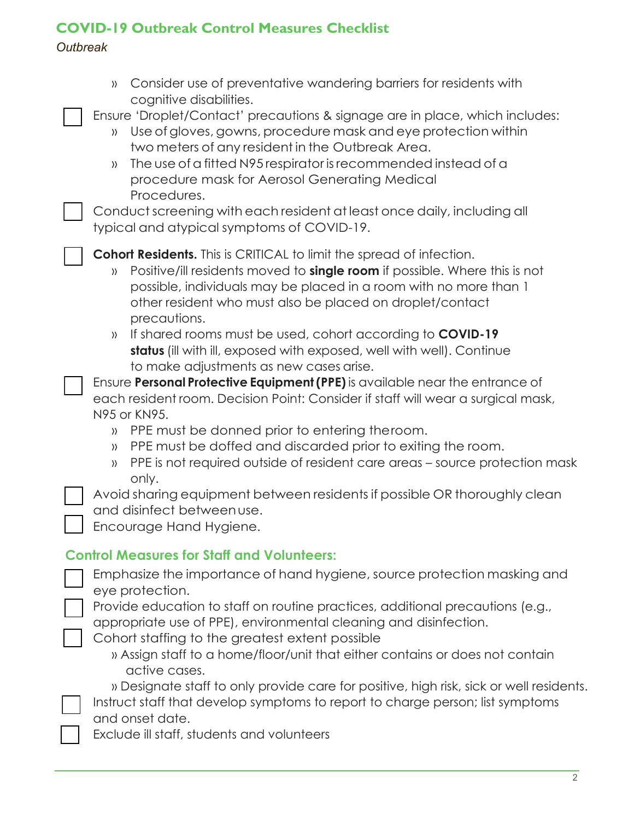## **COVID-19 Outbreak Control Measures Checklist**

#### *Outbreak*

| Consider use of preventative wandering barriers for residents with<br>$\rangle$<br>cognitive disabilities.<br>Ensure 'Droplet/Contact' precautions & signage are in place, which includes:<br>Use of gloves, gowns, procedure mask and eye protection within<br>$\rangle$<br>two meters of any resident in the Outbreak Area.<br>The use of a fitted N95 respirator is recommended instead of a<br>$\rangle$<br>procedure mask for Aerosol Generating Medical<br>Procedures.<br>Conduct screening with each resident at least once daily, including all<br>typical and atypical symptoms of COVID-19. |
|-------------------------------------------------------------------------------------------------------------------------------------------------------------------------------------------------------------------------------------------------------------------------------------------------------------------------------------------------------------------------------------------------------------------------------------------------------------------------------------------------------------------------------------------------------------------------------------------------------|
| <b>Cohort Residents.</b> This is CRITICAL to limit the spread of infection.<br>Positive/ill residents moved to <b>single room</b> if possible. Where this is not<br>$\rangle$<br>possible, individuals may be placed in a room with no more than 1<br>other resident who must also be placed on droplet/contact<br>precautions.<br>If shared rooms must be used, cohort according to <b>COVID-19</b><br>$\rangle$<br>status (ill with ill, exposed with exposed, well with well). Continue                                                                                                            |
| to make adjustments as new cases arise.<br>Ensure Personal Protective Equipment (PPE) is available near the entrance of<br>each resident room. Decision Point: Consider if staff will wear a surgical mask,<br>N95 or KN95.<br>PPE must be donned prior to entering the room.<br>$\rangle$<br>PPE must be doffed and discarded prior to exiting the room.<br>$\rangle$<br>PPE is not required outside of resident care areas – source protection mask<br>$\rangle$<br>only.                                                                                                                           |
| Avoid sharing equipment between residents if possible OR thoroughly clean<br>and disinfect between use.<br>Encourage Hand Hygiene.                                                                                                                                                                                                                                                                                                                                                                                                                                                                    |
| <b>Control Measures for Staff and Volunteers:</b><br>Emphasize the importance of hand hygiene, source protection masking and<br>eye protection.<br>Provide education to staff on routine practices, additional precautions (e.g.,<br>appropriate use of PPE), environmental cleaning and disinfection.<br>Cohort staffing to the greatest extent possible<br>» Assign staff to a home/floor/unit that either contains or does not contain<br>active cases.                                                                                                                                            |
| » Designate staff to only provide care for positive, high risk, sick or well residents.<br>Instruct staff that develop symptoms to report to charge person; list symptoms<br>and onset date.<br>Exclude ill staff, students and volunteers                                                                                                                                                                                                                                                                                                                                                            |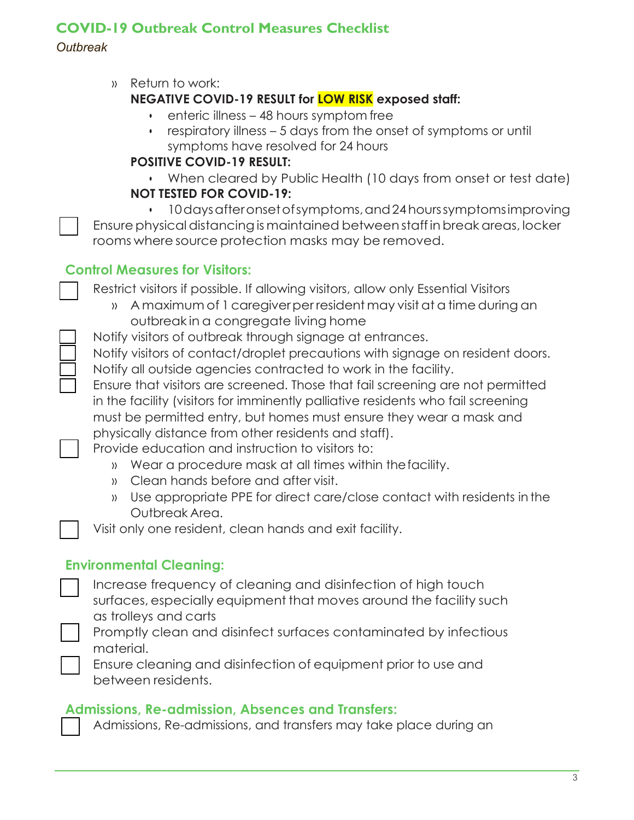## **COVID-19 Outbreak Control Measures Checklist**

#### *Outbreak*

» Return to work:

## **NEGATIVE COVID-19 RESULT for LOW RISK exposed staff:**

- enteric illness 48 hours symptom free
- respiratory illness 5 days from the onset of symptoms or until symptoms have resolved for 24 hours

#### **POSITIVE COVID-19 RESULT:**

• When cleared by Public Health (10 days from onset or test date) **NOT TESTED FOR COVID-19:**

• 10daysafteronsetofsymptoms,and24hourssymptomsimproving Ensure physical distancing is maintained between staff in break areas, locker rooms where source protection masks may be removed.

## **Control Measures for Visitors:**

Restrict visitors if possible. If allowing visitors, allow only Essential Visitors

- » A maximum of 1 caregiver per resident may visit at a time during an outbreak in a congregate living home
- Notify visitors of outbreak through signage at entrances.
- Notify visitors of contact/droplet precautions with signage on resident doors. Notify all outside agencies contracted to work in the facility.
- Ensure that visitors are screened. Those that fail screening are not permitted in the facility (visitors for imminently palliative residents who fail screening must be permitted entry, but homes must ensure they wear a mask and physically distance from other residents and staff).

Provide education and instruction to visitors to:

- » Wear a procedure mask at all times within thefacility.
- » Clean hands before and after visit.
- » Use appropriate PPE for direct care/close contact with residents in the Outbreak Area.

Visit only one resident, clean hands and exit facility.

## **Environmental Cleaning:**

Increase frequency of cleaning and disinfection of high touch surfaces, especially equipment that moves around the facility such as trolleys and carts

Promptly clean and disinfect surfaces contaminated by infectious material.

Ensure cleaning and disinfection of equipment prior to use and between residents.

## **Admissions, Re-admission, Absences and Transfers:**

Admissions, Re-admissions, and transfers may take place during an